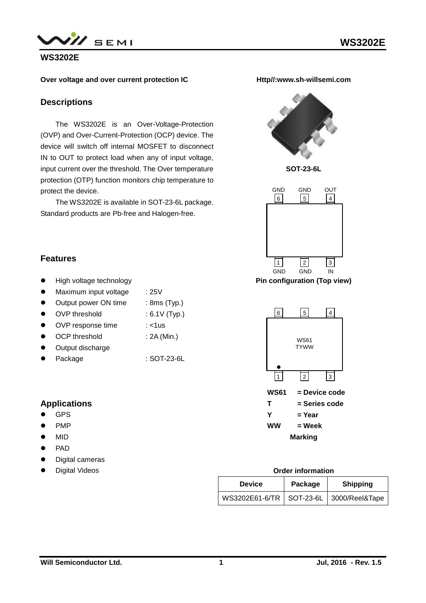

### **WS3202E**

#### **Over voltage and over current protection IC**

### **Descriptions**

The WS3202E is an Over-Voltage-Protection (OVP) and Over-Current-Protection (OCP) device. The device will switch off internal MOSFET to disconnect IN to OUT to protect load when any of input voltage, input current over the threshold. The Over temperature protection (OTP) function monitors chip temperature to protect the device.

The WS3202E is available in SOT-23-6L package. Standard products are Pb-free and Halogen-free.

**Http//:www.sh-willsemi.com**



**SOT-23-6L**



**Pin configuration (Top view)**



**Marking**

## **Features**

- High voltage technology
- Maximum input voltage : 25V
- Output power ON time : 8ms (Typ.)
- OVP threshold : 6.1V (Typ.)
- OVP response time : <1us
- OCP threshold : 2A (Min.)
- Output discharge
- Package : SOT-23-6L

### **Applications**

- GPS
- PMP
- $\bullet$  MID
- PAD
- **•** Digital cameras
- Digital Videos

#### **Order information**

| <b>Device</b>                               | Package | <b>Shipping</b> |  |  |
|---------------------------------------------|---------|-----------------|--|--|
| WS3202E61-6/TR   SOT-23-6L   3000/Reel&Tape |         |                 |  |  |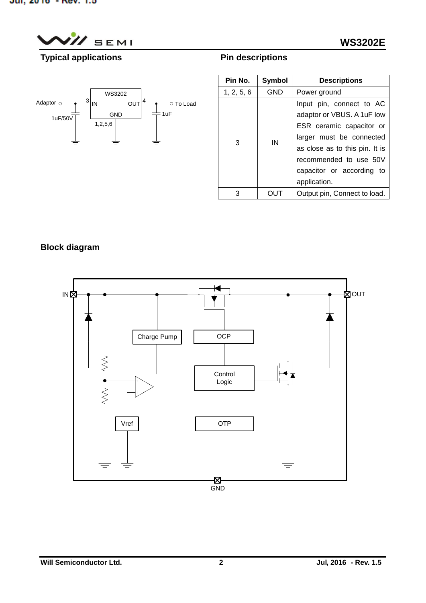$^{\prime}$  SEMI

## **WS3202E**

# **Typical applications**





| Pin No.    | Symbol     | <b>Descriptions</b>            |  |  |
|------------|------------|--------------------------------|--|--|
| 1, 2, 5, 6 | <b>GND</b> | Power ground                   |  |  |
| 3          |            | Input pin, connect to AC       |  |  |
|            | IN         | adaptor or VBUS. A 1uF low     |  |  |
|            |            | ESR ceramic capacitor or       |  |  |
|            |            | larger must be connected       |  |  |
|            |            | as close as to this pin. It is |  |  |
|            |            | recommended to use 50V         |  |  |
|            |            | capacitor or according to      |  |  |
|            |            | application.                   |  |  |
| 3          |            | Output pin, Connect to load.   |  |  |

## **Block diagram**

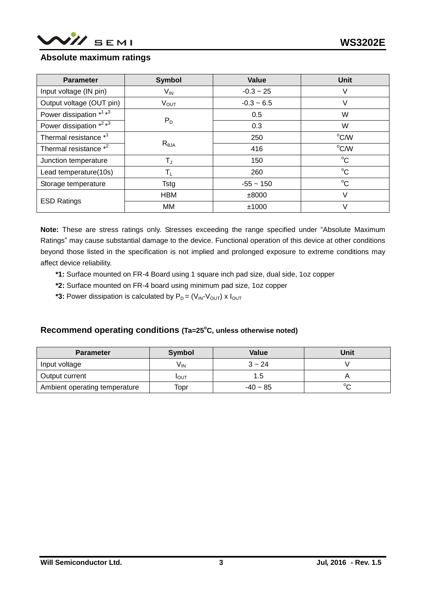

### **Absolute maximum ratings**

| <b>Parameter</b>                                | <b>Symbol</b>             | Value        | <b>Unit</b> |
|-------------------------------------------------|---------------------------|--------------|-------------|
| Input voltage (IN pin)                          | $V_{\text{IN}}$           | $-0.3 - 25$  | V           |
| Output voltage (OUT pin)                        | $V_{OUT}$                 | $-0.3 - 6.5$ | V           |
| Power dissipation * <sup>1</sup> * <sup>3</sup> |                           | 0.5          | W           |
| Power dissipation *2 *3                         | $P_D$                     | 0.3          | W           |
| Thermal resistance * <sup>1</sup>               |                           | 250          | °C/W        |
| Thermal resistance *2                           | $R_{\theta$ JA            | 416          | °C/W        |
| Junction temperature                            | $T_{\text{J}}$            | 150          | $^{\circ}C$ |
| Lead temperature(10s)                           | $\mathsf{T}_{\mathsf{L}}$ | 260          | $^{\circ}C$ |
| Storage temperature                             | Tstg                      | $-55 - 150$  | $^{\circ}C$ |
| <b>ESD Ratings</b>                              | <b>HBM</b>                | ±8000        | V           |
|                                                 | MМ                        | ±1000        | V           |

**Note:** These are stress ratings only. Stresses exceeding the range specified under "Absolute Maximum Ratings" may cause substantial damage to the device. Functional operation of this device at other conditions beyond those listed in the specification is not implied and prolonged exposure to extreme conditions may affect device reliability.

- **\*1:** Surface mounted on FR-4 Board using 1 square inch pad size, dual side, 1oz copper
- **\*2:** Surface mounted on FR-4 board using minimum pad size, 1oz copper
- **\*3:** Power dissipation is calculated by  $P_D = (V_{IN} V_{OUT}) \times I_{OUT}$

### **Recommend operating conditions (Ta=25<sup>o</sup>C, unless otherwise noted)**

| <b>Parameter</b>              | <b>Symbol</b>   | Value      | Unit   |
|-------------------------------|-----------------|------------|--------|
| Input voltage                 | $V_{\text{IN}}$ | $3 - 24$   |        |
| Output current                | <b>I</b> OUT    | יט.י       |        |
| Ambient operating temperature | Topr            | $-40 - 85$ | $\sim$ |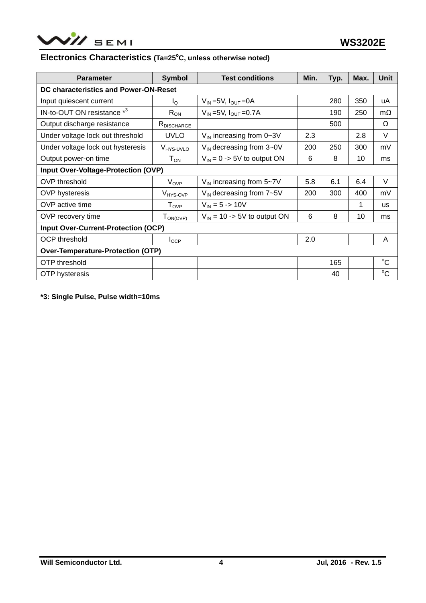

## **Electronics Characteristics (Ta=25<sup>o</sup>C, unless otherwise noted)**

| <b>Parameter</b>                         | <b>Symbol</b>                                 | <b>Test conditions</b>                                    | Min. | Typ. | Max. | Unit        |
|------------------------------------------|-----------------------------------------------|-----------------------------------------------------------|------|------|------|-------------|
| DC characteristics and Power-ON-Reset    |                                               |                                                           |      |      |      |             |
| Input quiescent current                  | $I_{\Omega}$                                  | $V_{IN}$ = 5V, $I_{OUT}$ = 0A                             |      | 280  | 350  | uA          |
| IN-to-OUT ON resistance *3               | $V_{IN} = 5V$ , $I_{OUIT} = 0.7A$<br>$R_{ON}$ |                                                           |      | 190  | 250  | $m\Omega$   |
| Output discharge resistance              | RDISCHARGE                                    |                                                           |      | 500  |      | Ω           |
| Under voltage lock out threshold         | <b>UVLO</b>                                   | $V_{IN}$ increasing from 0~3V                             | 2.3  |      | 2.8  | $\vee$      |
| Under voltage lock out hysteresis        | V <sub>HYS-UVLO</sub>                         | $V_{IN}$ decreasing from $3\negmedspace-\negmedspace 0$ V |      | 250  | 300  | mV          |
| Output power-on time                     | $\mathsf{T}_\mathsf{ON}$                      | $V_{IN} = 0$ -> 5V to output ON                           |      | 8    | 10   | ms          |
| Input Over-Voltage-Protection (OVP)      |                                               |                                                           |      |      |      |             |
| OVP threshold                            | $V_{OVP}$                                     | $V_{IN}$ increasing from 5~7V                             |      | 6.1  | 6.4  | V           |
| <b>OVP</b> hysteresis                    | V <sub>HYS-OVP</sub>                          | $V_{IN}$ decreasing from $7\neg 5V$                       |      | 300  | 400  | mV          |
| OVP active time                          | ${\mathsf T}_{\textsf{OVP}}$                  | $V_{IN} = 5 - 10V$                                        |      |      | 1    | <b>us</b>   |
| OVP recovery time                        | $T_{ON(OVP)}$                                 | $V_{\text{IN}}$ = 10 -> 5V to output ON                   |      | 8    | 10   | ms          |
| Input Over-Current-Protection (OCP)      |                                               |                                                           |      |      |      |             |
| <b>OCP</b> threshold                     | $I_{OCP}$                                     |                                                           | 2.0  |      |      | A           |
| <b>Over-Temperature-Protection (OTP)</b> |                                               |                                                           |      |      |      |             |
| OTP threshold                            |                                               |                                                           |      | 165  |      | $^{\circ}C$ |
| <b>OTP</b> hysteresis                    |                                               |                                                           |      | 40   |      | $^{\circ}C$ |

**\*3: Single Pulse, Pulse width=10ms**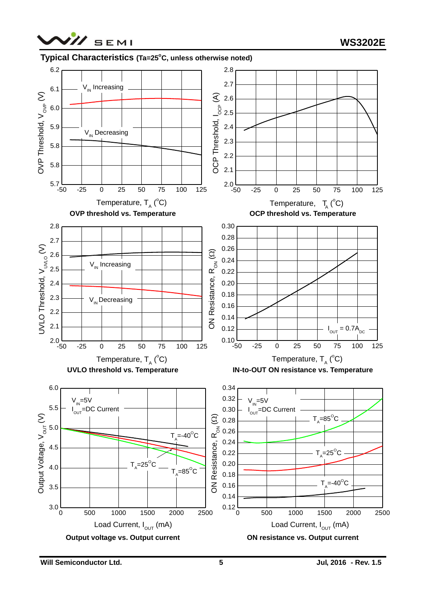

### **Typical Characteristics (Ta=25<sup>o</sup>C, unless otherwise noted)**



**Will Semiconductor Ltd.** 5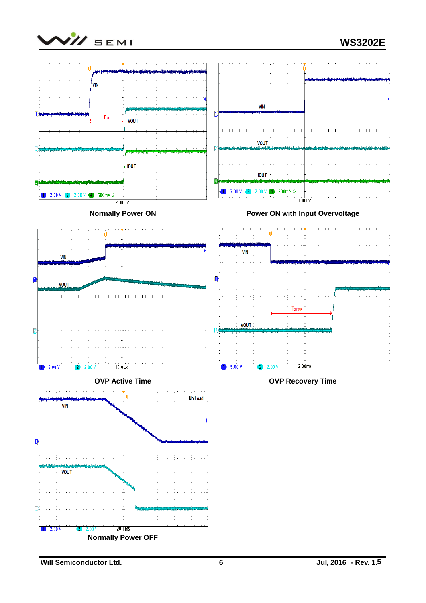



**Will Semiconductor Ltd.** 6